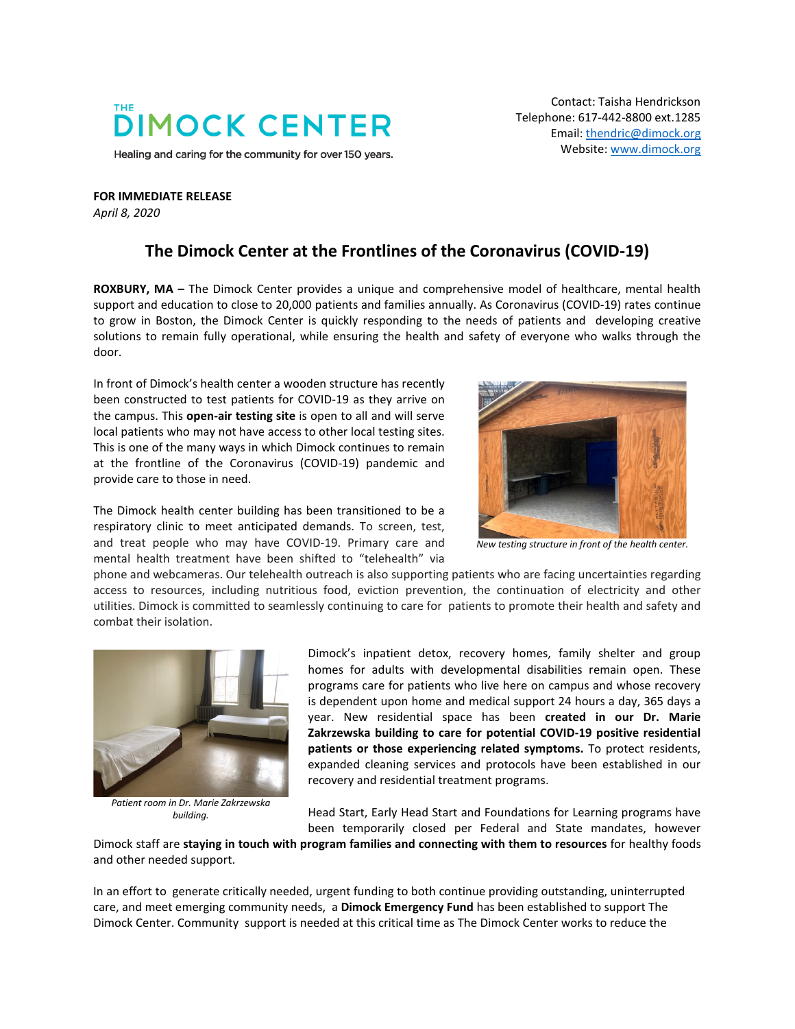## **DIMOCK CENTER**

Healing and caring for the community for over 150 years.

Contact: Taisha Hendrickson Telephone: 617-442-8800 ext.1285 Email[: thendric@dimock.org](mailto:thendric@dimock.org) Website[: www.dimock.org](http://www.dimock.org/)

**FOR IMMEDIATE RELEASE** *April 8, 2020*

## **The Dimock Center at the Frontlines of the Coronavirus (COVID-19)**

**ROXBURY, MA –** The Dimock Center provides a unique and comprehensive model of healthcare, mental health support and education to close to 20,000 patients and families annually. As Coronavirus (COVID-19) rates continue to grow in Boston, the Dimock Center is quickly responding to the needs of patients and developing creative solutions to remain fully operational, while ensuring the health and safety of everyone who walks through the door.

In front of Dimock's health center a wooden structure has recently been constructed to test patients for COVID-19 as they arrive on the campus. This **open-air testing site** is open to all and will serve local patients who may not have access to other local testing sites. This is one of the many ways in which Dimock continues to remain at the frontline of the Coronavirus (COVID-19) pandemic and provide care to those in need.

The Dimock health center building has been transitioned to be a respiratory clinic to meet anticipated demands. To screen, test, and treat people who may have COVID-19. Primary care and mental health treatment have been shifted to "telehealth" via



*New testing structure in front of the health center.*

phone and webcameras. Our telehealth outreach is also supporting patients who are facing uncertainties regarding access to resources, including nutritious food, eviction prevention, the continuation of electricity and other utilities. Dimock is committed to seamlessly continuing to care for patients to promote their health and safety and combat their isolation.



*Patient room in Dr. Marie Zakrzewska building.*

Dimock's inpatient detox, recovery homes, family shelter and group homes for adults with developmental disabilities remain open. These programs care for patients who live here on campus and whose recovery is dependent upon home and medical support 24 hours a day, 365 days a year. New residential space has been **created in our Dr. Marie Zakrzewska building to care for potential COVID-19 positive residential patients or those experiencing related symptoms.** To protect residents, expanded cleaning services and protocols have been established in our recovery and residential treatment programs.

Head Start, Early Head Start and Foundations for Learning programs have been temporarily closed per Federal and State mandates, however

Dimock staff are **staying in touch with program families and connecting with them to resources** for healthy foods and other needed support.

In an effort to generate critically needed, urgent funding to both continue providing outstanding, uninterrupted care, and meet emerging community needs, a **Dimock Emergency Fund** has been established to support The Dimock Center. Community support is needed at this critical time as The Dimock Center works to reduce the